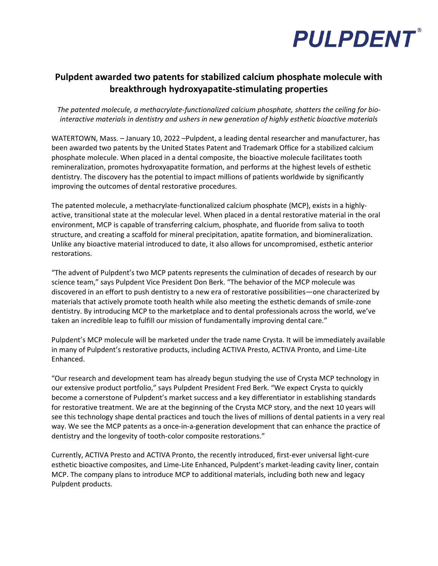

## **Pulpdent awarded two patents for stabilized calcium phosphate molecule with breakthrough hydroxyapatite-stimulating properties**

*The patented molecule, a methacrylate-functionalized calcium phosphate, shatters the ceiling for biointeractive materials in dentistry and ushers in new generation of highly esthetic bioactive materials*

WATERTOWN, Mass. – January 10, 2022 –Pulpdent, a leading dental researcher and manufacturer, has been awarded two patents by the United States Patent and Trademark Office for a stabilized calcium phosphate molecule. When placed in a dental composite, the bioactive molecule facilitates tooth remineralization, promotes hydroxyapatite formation, and performs at the highest levels of esthetic dentistry. The discovery has the potential to impact millions of patients worldwide by significantly improving the outcomes of dental restorative procedures.

The patented molecule, a methacrylate-functionalized calcium phosphate (MCP), exists in a highlyactive, transitional state at the molecular level. When placed in a dental restorative material in the oral environment, MCP is capable of transferring calcium, phosphate, and fluoride from saliva to tooth structure, and creating a scaffold for mineral precipitation, apatite formation, and biomineralization. Unlike any bioactive material introduced to date, it also allows for uncompromised, esthetic anterior restorations.

"The advent of Pulpdent's two MCP patents represents the culmination of decades of research by our science team," says Pulpdent Vice President Don Berk. "The behavior of the MCP molecule was discovered in an effort to push dentistry to a new era of restorative possibilities—one characterized by materials that actively promote tooth health while also meeting the esthetic demands of smile-zone dentistry. By introducing MCP to the marketplace and to dental professionals across the world, we've taken an incredible leap to fulfill our mission of fundamentally improving dental care."

Pulpdent's MCP molecule will be marketed under the trade name Crysta. It will be immediately available in many of Pulpdent's restorative products, including ACTIVA Presto, ACTIVA Pronto, and Lime-Lite Enhanced.

"Our research and development team has already begun studying the use of Crysta MCP technology in our extensive product portfolio," says Pulpdent President Fred Berk. "We expect Crysta to quickly become a cornerstone of Pulpdent's market success and a key differentiator in establishing standards for restorative treatment. We are at the beginning of the Crysta MCP story, and the next 10 years will see this technology shape dental practices and touch the lives of millions of dental patients in a very real way. We see the MCP patents as a once-in-a-generation development that can enhance the practice of dentistry and the longevity of tooth-color composite restorations."

Currently, ACTIVA Presto and ACTIVA Pronto, the recently introduced, first-ever universal light-cure esthetic bioactive composites, and Lime-Lite Enhanced, Pulpdent's market-leading cavity liner, contain MCP. The company plans to introduce MCP to additional materials, including both new and legacy Pulpdent products.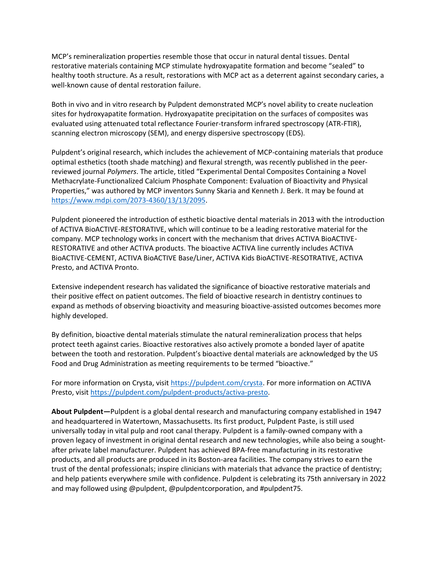MCP's remineralization properties resemble those that occur in natural dental tissues. Dental restorative materials containing MCP stimulate hydroxyapatite formation and become "sealed" to healthy tooth structure. As a result, restorations with MCP act as a deterrent against secondary caries, a well-known cause of dental restoration failure.

Both in vivo and in vitro research by Pulpdent demonstrated MCP's novel ability to create nucleation sites for hydroxyapatite formation. Hydroxyapatite precipitation on the surfaces of composites was evaluated using attenuated total reflectance Fourier-transform infrared spectroscopy (ATR-FTIR), scanning electron microscopy (SEM), and energy dispersive spectroscopy (EDS).

Pulpdent's original research, which includes the achievement of MCP-containing materials that produce optimal esthetics (tooth shade matching) and flexural strength, was recently published in the peerreviewed journal *Polymers*. The article, titled "Experimental Dental Composites Containing a Novel Methacrylate-Functionalized Calcium Phosphate Component: Evaluation of Bioactivity and Physical Properties," was authored by MCP inventors Sunny Skaria and Kenneth J. Berk. It may be found at [https://www.mdpi.com/2073-4360/13/13/2095.](https://www.mdpi.com/2073-4360/13/13/2095)

Pulpdent pioneered the introduction of esthetic bioactive dental materials in 2013 with the introduction of ACTIVA BioACTIVE-RESTORATIVE, which will continue to be a leading restorative material for the company. MCP technology works in concert with the mechanism that drives ACTIVA BioACTIVE-RESTORATIVE and other ACTIVA products. The bioactive ACTIVA line currently includes ACTIVA BioACTIVE-CEMENT, ACTIVA BioACTIVE Base/Liner, ACTIVA Kids BioACTIVE-RESOTRATIVE, ACTIVA Presto, and ACTIVA Pronto.

Extensive independent research has validated the significance of bioactive restorative materials and their positive effect on patient outcomes. The field of bioactive research in dentistry continues to expand as methods of observing bioactivity and measuring bioactive-assisted outcomes becomes more highly developed.

By definition, bioactive dental materials stimulate the natural remineralization process that helps protect teeth against caries. Bioactive restoratives also actively promote a bonded layer of apatite between the tooth and restoration. Pulpdent's bioactive dental materials are acknowledged by the US Food and Drug Administration as meeting requirements to be termed "bioactive."

For more information on Crysta, visit [https://pulpdent.com/crysta.](https://pulpdent.com/crysta) For more information on ACTIVA Presto, visit [https://pulpdent.com/pulpdent-products/activa-presto.](https://pulpdent.com/pulpdent-products/activa-presto)

**About Pulpdent—**Pulpdent is a global dental research and manufacturing company established in 1947 and headquartered in Watertown, Massachusetts. Its first product, Pulpdent Paste, is still used universally today in vital pulp and root canal therapy. Pulpdent is a family-owned company with a proven legacy of investment in original dental research and new technologies, while also being a soughtafter private label manufacturer. Pulpdent has achieved BPA-free manufacturing in its restorative products, and all products are produced in its Boston-area facilities. The company strives to earn the trust of the dental professionals; inspire clinicians with materials that advance the practice of dentistry; and help patients everywhere smile with confidence. Pulpdent is celebrating its 75th anniversary in 2022 and may followed using @pulpdent, @pulpdentcorporation, and #pulpdent75.